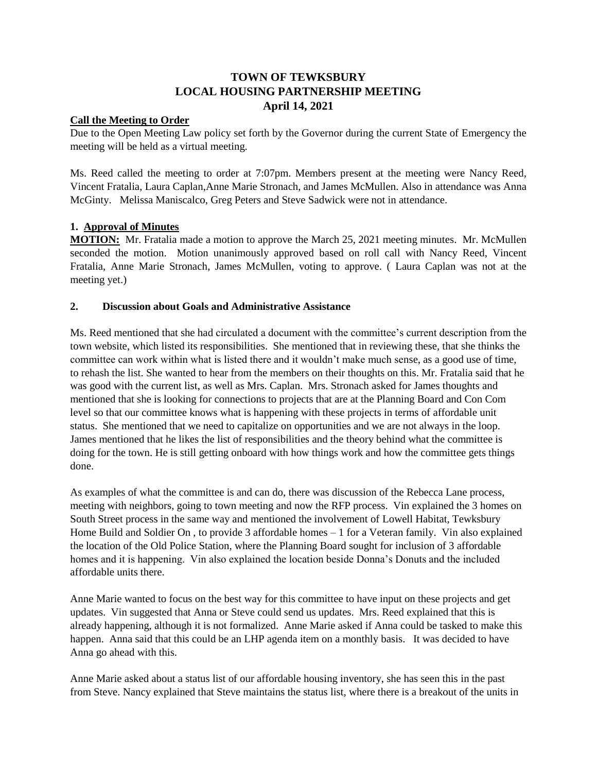# **TOWN OF TEWKSBURY LOCAL HOUSING PARTNERSHIP MEETING April 14, 2021**

## **Call the Meeting to Order**

Due to the Open Meeting Law policy set forth by the Governor during the current State of Emergency the meeting will be held as a virtual meeting.

Ms. Reed called the meeting to order at 7:07pm. Members present at the meeting were Nancy Reed, Vincent Fratalia, Laura Caplan,Anne Marie Stronach, and James McMullen. Also in attendance was Anna McGinty. Melissa Maniscalco, Greg Peters and Steve Sadwick were not in attendance.

## **1. Approval of Minutes**

**MOTION:** Mr. Fratalia made a motion to approve the March 25, 2021 meeting minutes. Mr. McMullen seconded the motion. Motion unanimously approved based on roll call with Nancy Reed, Vincent Fratalia, Anne Marie Stronach, James McMullen, voting to approve. ( Laura Caplan was not at the meeting yet.)

## **2. Discussion about Goals and Administrative Assistance**

Ms. Reed mentioned that she had circulated a document with the committee's current description from the town website, which listed its responsibilities. She mentioned that in reviewing these, that she thinks the committee can work within what is listed there and it wouldn't make much sense, as a good use of time, to rehash the list. She wanted to hear from the members on their thoughts on this. Mr. Fratalia said that he was good with the current list, as well as Mrs. Caplan. Mrs. Stronach asked for James thoughts and mentioned that she is looking for connections to projects that are at the Planning Board and Con Com level so that our committee knows what is happening with these projects in terms of affordable unit status. She mentioned that we need to capitalize on opportunities and we are not always in the loop. James mentioned that he likes the list of responsibilities and the theory behind what the committee is doing for the town. He is still getting onboard with how things work and how the committee gets things done.

As examples of what the committee is and can do, there was discussion of the Rebecca Lane process, meeting with neighbors, going to town meeting and now the RFP process. Vin explained the 3 homes on South Street process in the same way and mentioned the involvement of Lowell Habitat, Tewksbury Home Build and Soldier On , to provide 3 affordable homes – 1 for a Veteran family. Vin also explained the location of the Old Police Station, where the Planning Board sought for inclusion of 3 affordable homes and it is happening. Vin also explained the location beside Donna's Donuts and the included affordable units there.

Anne Marie wanted to focus on the best way for this committee to have input on these projects and get updates. Vin suggested that Anna or Steve could send us updates. Mrs. Reed explained that this is already happening, although it is not formalized. Anne Marie asked if Anna could be tasked to make this happen. Anna said that this could be an LHP agenda item on a monthly basis. It was decided to have Anna go ahead with this.

Anne Marie asked about a status list of our affordable housing inventory, she has seen this in the past from Steve. Nancy explained that Steve maintains the status list, where there is a breakout of the units in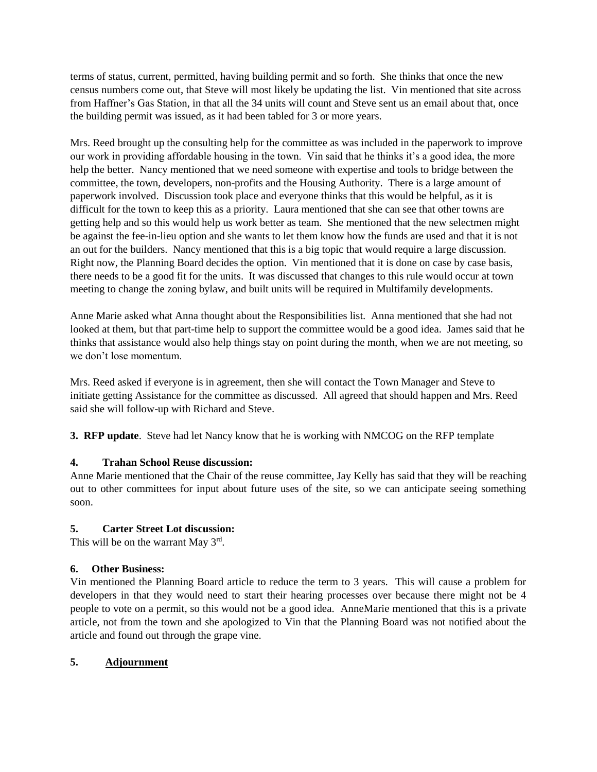terms of status, current, permitted, having building permit and so forth. She thinks that once the new census numbers come out, that Steve will most likely be updating the list. Vin mentioned that site across from Haffner's Gas Station, in that all the 34 units will count and Steve sent us an email about that, once the building permit was issued, as it had been tabled for 3 or more years.

Mrs. Reed brought up the consulting help for the committee as was included in the paperwork to improve our work in providing affordable housing in the town. Vin said that he thinks it's a good idea, the more help the better. Nancy mentioned that we need someone with expertise and tools to bridge between the committee, the town, developers, non-profits and the Housing Authority. There is a large amount of paperwork involved. Discussion took place and everyone thinks that this would be helpful, as it is difficult for the town to keep this as a priority. Laura mentioned that she can see that other towns are getting help and so this would help us work better as team. She mentioned that the new selectmen might be against the fee-in-lieu option and she wants to let them know how the funds are used and that it is not an out for the builders. Nancy mentioned that this is a big topic that would require a large discussion. Right now, the Planning Board decides the option. Vin mentioned that it is done on case by case basis, there needs to be a good fit for the units. It was discussed that changes to this rule would occur at town meeting to change the zoning bylaw, and built units will be required in Multifamily developments.

Anne Marie asked what Anna thought about the Responsibilities list. Anna mentioned that she had not looked at them, but that part-time help to support the committee would be a good idea. James said that he thinks that assistance would also help things stay on point during the month, when we are not meeting, so we don't lose momentum.

Mrs. Reed asked if everyone is in agreement, then she will contact the Town Manager and Steve to initiate getting Assistance for the committee as discussed. All agreed that should happen and Mrs. Reed said she will follow-up with Richard and Steve.

**3. RFP update**. Steve had let Nancy know that he is working with NMCOG on the RFP template

## **4. Trahan School Reuse discussion:**

Anne Marie mentioned that the Chair of the reuse committee, Jay Kelly has said that they will be reaching out to other committees for input about future uses of the site, so we can anticipate seeing something soon.

## **5. Carter Street Lot discussion:**

This will be on the warrant May  $3<sup>rd</sup>$ .

## **6. Other Business:**

Vin mentioned the Planning Board article to reduce the term to 3 years. This will cause a problem for developers in that they would need to start their hearing processes over because there might not be 4 people to vote on a permit, so this would not be a good idea. AnneMarie mentioned that this is a private article, not from the town and she apologized to Vin that the Planning Board was not notified about the article and found out through the grape vine.

## **5. Adjournment**